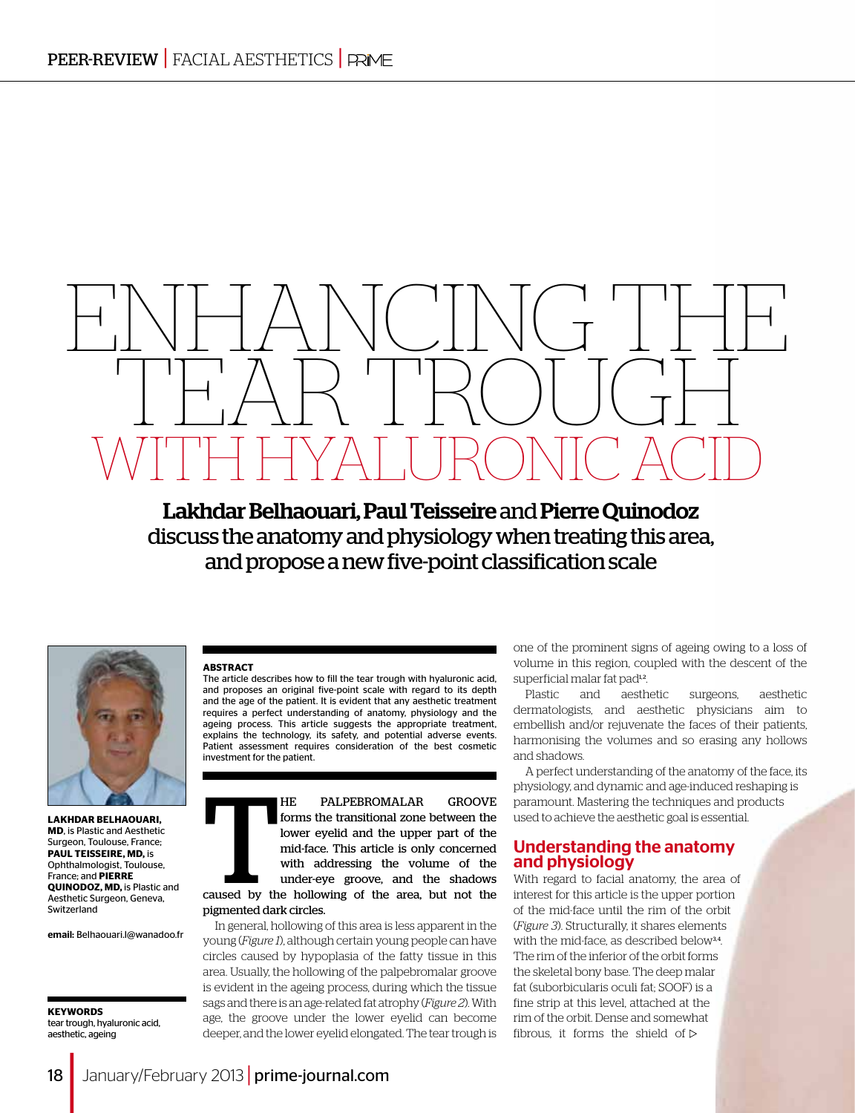# ENHANCING THE TEAR TROUGH WITH HYALURONIC ACID

Lakhdar Belhaouari, Paul Teisseire and Pierre Quinodoz discuss the anatomy and physiology when treating this area, and propose a new five-point classification scale



**LAKHDAR BELHAOUARI, MD**, is Plastic and Aesthetic Surgeon, Toulouse, France; **PAUL TEISSEIRE, MD,** is Ophthalmologist, Toulouse, France; and **PIERRE QUINODOZ, MD,** is Plastic and Aesthetic Surgeon, Geneva, Switzerland

email: Belhaouari.l@wanadoo.fr

**KEYWORDS**  tear trough, hyaluronic acid, aesthetic, ageing

#### **ABSTRACT**

The article describes how to fill the tear trough with hyaluronic acid, and proposes an original five-point scale with regard to its depth and the age of the patient. It is evident that any aesthetic treatment requires a perfect understanding of anatomy, physiology and the ageing process. This article suggests the appropriate treatment, explains the technology, its safety, and potential adverse events. Patient assessment requires consideration of the best cosmetic investment for the patient.



In general, hollowing of this area is less apparent in the young (*Figure 1*), although certain young people can have circles caused by hypoplasia of the fatty tissue in this area. Usually, the hollowing of the palpebromalar groove is evident in the ageing process, during which the tissue sags and there is an age-related fat atrophy (*Figure 2*). With age, the groove under the lower eyelid can become deeper, and the lower eyelid elongated. The tear trough is

one of the prominent signs of ageing owing to a loss of volume in this region, coupled with the descent of the superficial malar fat pad<sup>1,2</sup>. .

Plastic and aesthetic surgeons, aesthetic dermatologists, and aesthetic physicians aim to embellish and/or rejuvenate the faces of their patients, harmonising the volumes and so erasing any hollows and shadows.

A perfect understanding of the anatomy of the face, its physiology, and dynamic and age-induced reshaping is paramount. Mastering the techniques and products used to achieve the aesthetic goal is essential.

#### Understanding the anatomy and physiology

With regard to facial anatomy, the area of interest for this article is the upper portion of the mid-face until the rim of the orbit (*Figure 3*). Structurally, it shares elements with the mid-face, as described below<sup>34</sup>. The rim of the inferior of the orbit forms the skeletal bony base. The deep malar fat (suborbicularis oculi fat; SOOF) is a fine strip at this level, attached at the rim of the orbit. Dense and somewhat fibrous, it forms the shield of  $\triangleright$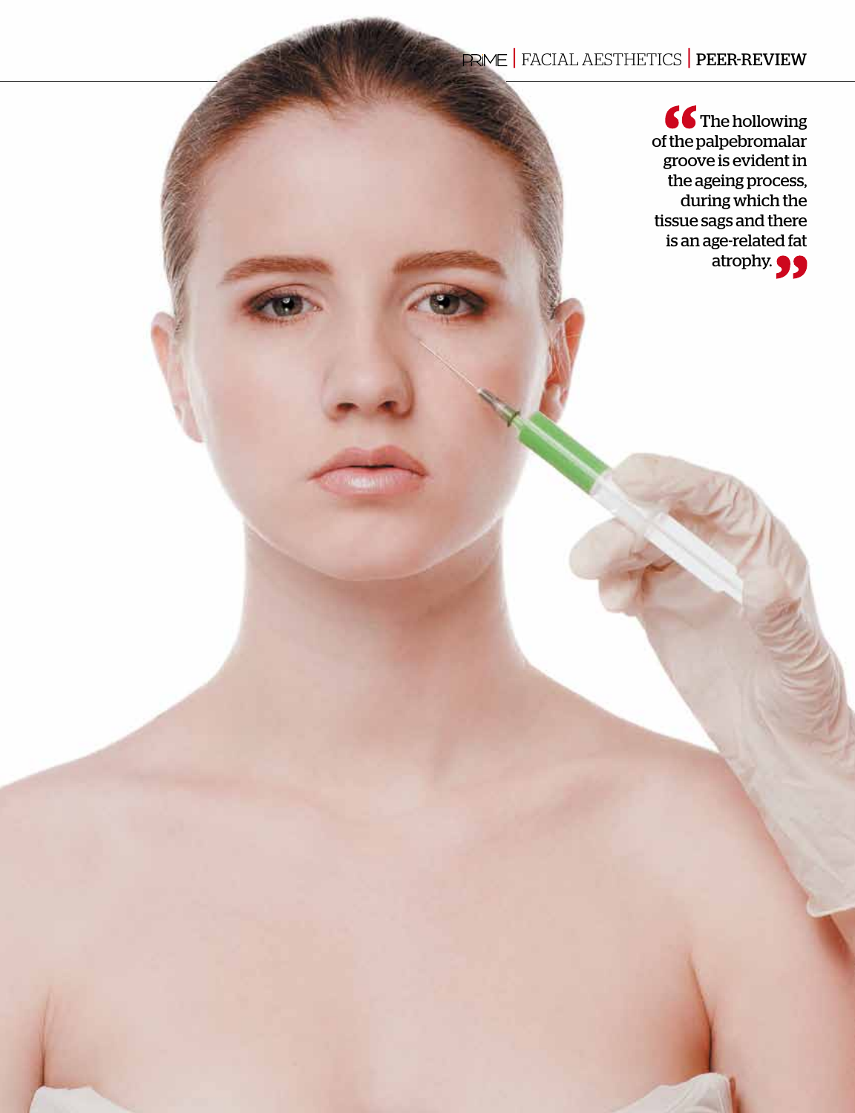# **RNE** FACIAL AESTHETICS | PEER-REVIEW

The hollowing of the palpebromalar groove is evident in the ageing process, during which the tissue sags and there is an age-related fat atrophy.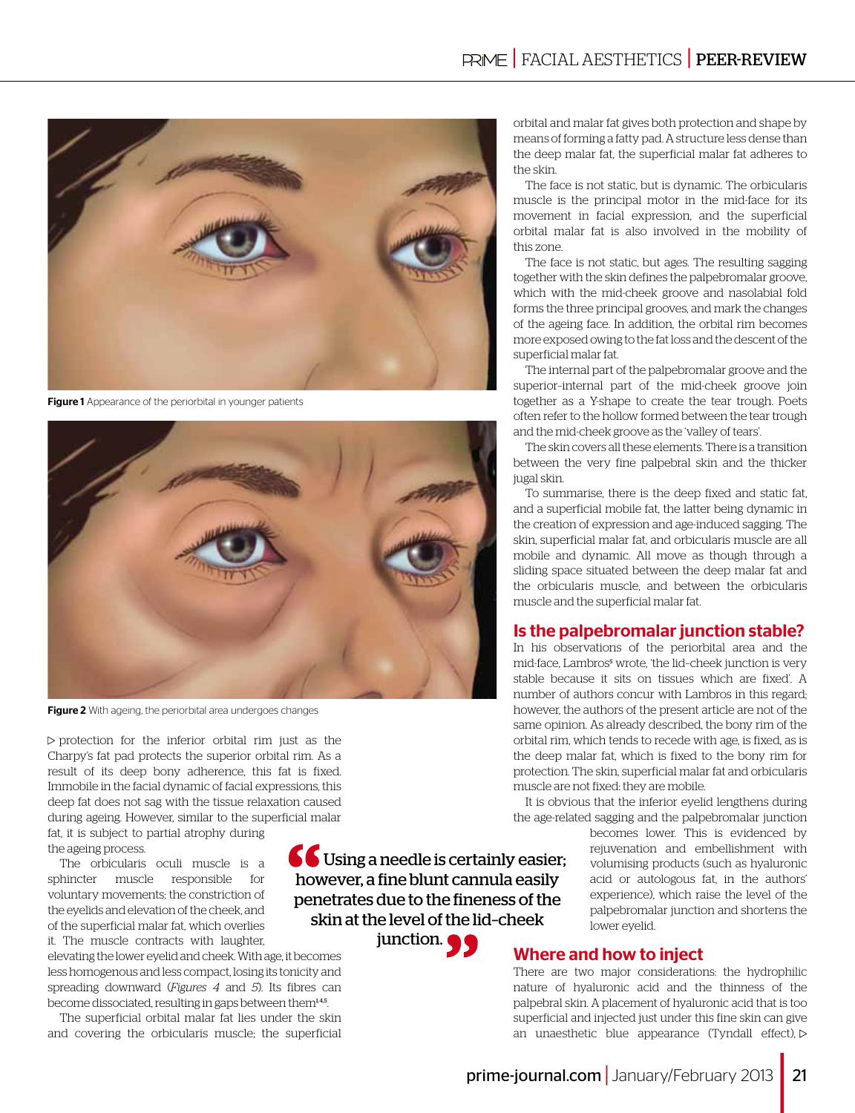

Figure 1 Appearance of the periorbital in younger patients



Figure 2 With ageing, the periorbital area undergoes changes

 $\triangleright$  protection for the inferior orbital rim just as the charpy's fat pad protects the superior orbital rim. As a result of its deep bony adherence, this fat is fixed. Immobile in the facial dynamic of facial expressions, this deep fat does not sag with the tissue relaxation caused during ageing. However, similar to the superficial malar fat, it is subject to partial atrophy during

the ageing process.

The orbicularis oculi muscle is a sphincter muscle responsible for voluntary movements; the constriction of the eyelids and elevation of the cheek, and of the superficial malar fat, which overlies it. The muscle contracts with laughter,

elevating the lower eyelid and cheek. With age, it becomes less homogenous and less compact, losing its tonicity and spreading downward (*Figures 4* and *5*). Its fibres can become dissociated, resulting in gaps between them<sup>145</sup>. .

The superficial orbital malar fat lies under the skin and covering the orbicularis muscle; the superficial

Using a needle is certainly easier; however, a fine blunt cannula easily penetrates due to the fineness of the skin at the level of the lid–cheek

junction.

orbital and malar fat gives both protection and shape by means of forming a fatty pad. A structure less dense than the deep malar fat, the superficial malar fat adheres to the skin.

The face is not static, but is dynamic. The orbicularis muscle is the principal motor in the mid-face for its movement in facial expression, and the superficial orbital malar fat is also involved in the mobility of this zone.

The face is not static, but ages. The resulting sagging together with the skin defines the palpebromalar groove, which with the mid-cheek groove and nasolabial fold forms the three principal grooves, and mark the changes of the ageing face. In addition, the orbital rim becomes more exposed owing to the fat loss and the descent of the superficial malar fat.

The internal part of the palpebromalar groove and the superior–internal part of the mid-cheek groove join together as a Y-shape to create the tear trough. Poets often refer to the hollow formed between the tear trough and the mid-cheek groove as the 'valley of tears'.

The skin covers all these elements. There is a transition between the very fine palpebral skin and the thicker jugal skin.

To summarise, there is the deep fixed and static fat, and a superficial mobile fat, the latter being dynamic in the creation of expression and age-induced sagging. The skin, superficial malar fat, and orbicularis muscle are all mobile and dynamic. All move as though through a sliding space situated between the deep malar fat and the orbicularis muscle, and between the orbicularis muscle and the superficial malar fat.

#### Is the palpebromalar junction stable?

In his observations of the periorbital area and the mid-face, Lambros<sup>5</sup> wrote, 'the lid-cheek junction is very stable because it sits on tissues which are fixed'. A number of authors concur with lambros in this regard; however, the authors of the present article are not of the same opinion. As already described, the bony rim of the orbital rim, which tends to recede with age, is fixed, as is the deep malar fat, which is fixed to the bony rim for protection. The skin, superficial malar fat and orbicularis muscle are not fixed: they are mobile.

It is obvious that the inferior eyelid lengthens during the age-related sagging and the palpebromalar junction

> becomes lower. This is evidenced by rejuvenation and embellishment with volumising products (such as hyaluronic acid or autologous fat, in the authors' experience), which raise the level of the palpebromalar junction and shortens the lower eyelid.

#### Where and how to inject

There are two major considerations: the hydrophilic nature of hyaluronic acid and the thinness of the palpebral skin. A placement of hyaluronic acid that is too superficial and injected just under this fine skin can give an unaesthetic blue appearance (Tyndall effect),  $\triangleright$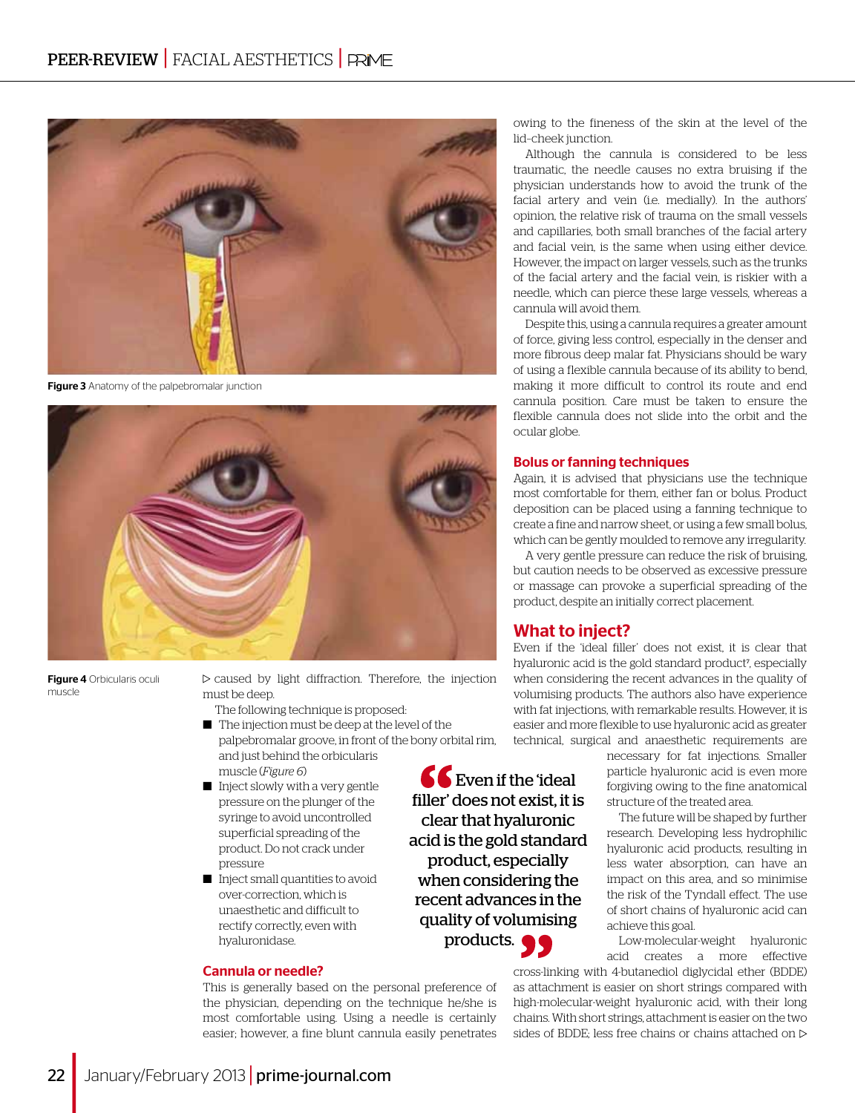

Figure 3 Anatomy of the palpebromalar junction



Figure 4 Orbicularis oculi muscle

 $\triangleright$  caused by light diffraction. Therefore, the injection must be deep.

The following technique is proposed:

- The injection must be deep at the level of the palpebromalar groove, in front of the bony orbital rim, and just behind the orbicularis muscle (*Figure 6*)
- Inject slowly with a very gentle pressure on the plunger of the syringe to avoid uncontrolled superficial spreading of the product. Do not crack under pressure
- Inject small quantities to avoid over-correction, which is unaesthetic and difficult to rectify correctly, even with hyaluronidase.

#### Cannula or needle?

This is generally based on the personal preference of the physician, depending on the technique he/she is most comfortable using. Using a needle is certainly easier; however, a fine blunt cannula easily penetrates owing to the fineness of the skin at the level of the lid–cheek junction.

Although the cannula is considered to be less traumatic, the needle causes no extra bruising if the physician understands how to avoid the trunk of the facial artery and vein (i.e. medially). In the authors' opinion, the relative risk of trauma on the small vessels and capillaries, both small branches of the facial artery and facial vein, is the same when using either device. however, the impact on larger vessels, such as the trunks of the facial artery and the facial vein, is riskier with a needle, which can pierce these large vessels, whereas a cannula will avoid them.

Despite this, using a cannula requires a greater amount of force, giving less control, especially in the denser and more fibrous deep malar fat. Physicians should be wary of using a flexible cannula because of its ability to bend, making it more difficult to control its route and end cannula position. care must be taken to ensure the flexible cannula does not slide into the orbit and the ocular globe.

#### Bolus or fanning techniques

Again, it is advised that physicians use the technique most comfortable for them, either fan or bolus. Product deposition can be placed using a fanning technique to create a fine and narrow sheet, or using a few small bolus, which can be gently moulded to remove any irregularity.

A very gentle pressure can reduce the risk of bruising, but caution needs to be observed as excessive pressure or massage can provoke a superficial spreading of the product, despite an initially correct placement.

#### What to inject?

Even if the 'ideal filler' does not exist, it is clear that hyaluronic acid is the gold standard product<sup>7</sup>, especially when considering the recent advances in the quality of volumising products. The authors also have experience with fat injections, with remarkable results. however, it is easier and more flexible to use hyaluronic acid as greater technical, surgical and anaesthetic requirements are

 $\epsilon$  Even if the 'ideal filler' does not exist, it is clear that hyaluronic acid is the gold standard product, especially when considering the recent advances in the quality of volumising

products.

necessary for fat injections. Smaller particle hyaluronic acid is even more forgiving owing to the fine anatomical structure of the treated area.

The future will be shaped by further research. Developing less hydrophilic hyaluronic acid products, resulting in less water absorption, can have an impact on this area, and so minimise the risk of the Tyndall effect. The use of short chains of hyaluronic acid can achieve this goal.

low-molecular-weight hyaluronic acid creates a more effective

cross-linking with 4-butanediol diglycidal ether (BDDe) as attachment is easier on short strings compared with high-molecular-weight hyaluronic acid, with their long chains. With short strings, attachment is easier on the two sides of BDDE; less free chains or chains attached on  $\triangleright$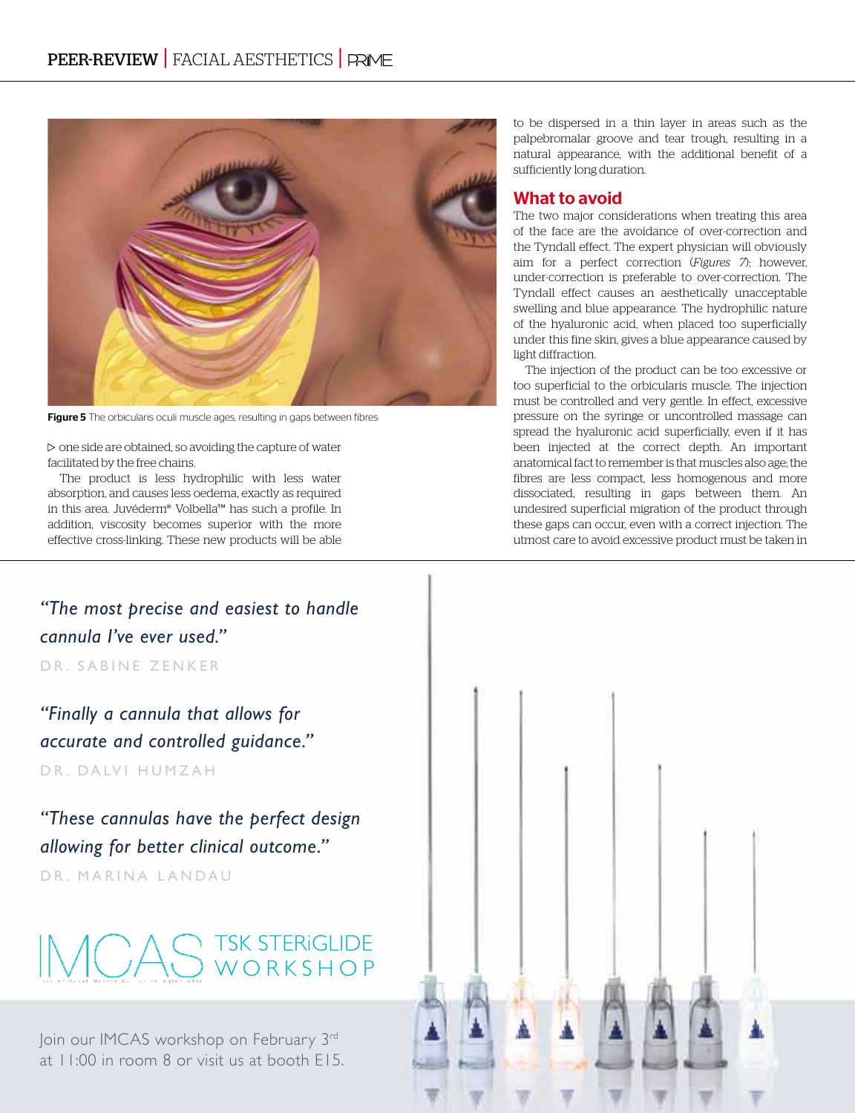

Figure 5 The orbicularis oculi muscle ages, resulting in gaps between fibres

 $\rhd$  one side are obtained, so avoiding the capture of water facilitated by the free chains.

The product is less hydrophilic with less water absorption, and causes less oedema, exactly as required in this area. Juvéderm® Volbella™ has such a profile. In addition, viscosity becomes superior with the more effective cross-linking. These new products will be able

*"The most precise and easiest to handle cannula I've ever used."*

DR SABINE ZENKER

*"Finally a cannula that allows for accurate and controlled guidance."* DR. DALVI HUMZAH

*"These cannulas have the perfect design allowing for better clinical outcome."* DR. MARINA LANDAU



Join our IMCAS workshop on February 3rd at 11:00 in room 8 or visit us at booth E15. to be dispersed in a thin layer in areas such as the palpebromalar groove and tear trough, resulting in a natural appearance, with the additional benefit of a sufficiently long duration.

#### What to avoid

The two major considerations when treating this area of the face are the avoidance of over-correction and the Tyndall effect. The expert physician will obviously aim for a perfect correction (*Figures 7*); however, under-correction is preferable to over-correction. The Tyndall effect causes an aesthetically unacceptable swelling and blue appearance. The hydrophilic nature of the hyaluronic acid, when placed too superficially under this fine skin, gives a blue appearance caused by light diffraction.

The injection of the product can be too excessive or too superficial to the orbicularis muscle. The injection must be controlled and very gentle. In effect, excessive pressure on the syringe or uncontrolled massage can spread the hyaluronic acid superficially, even if it has been injected at the correct depth. An important anatomical fact to remember is that muscles also age; the fibres are less compact, less homogenous and more dissociated, resulting in gaps between them. An undesired superficial migration of the product through these gaps can occur, even with a correct injection. The utmost care to avoid excessive product must be taken in

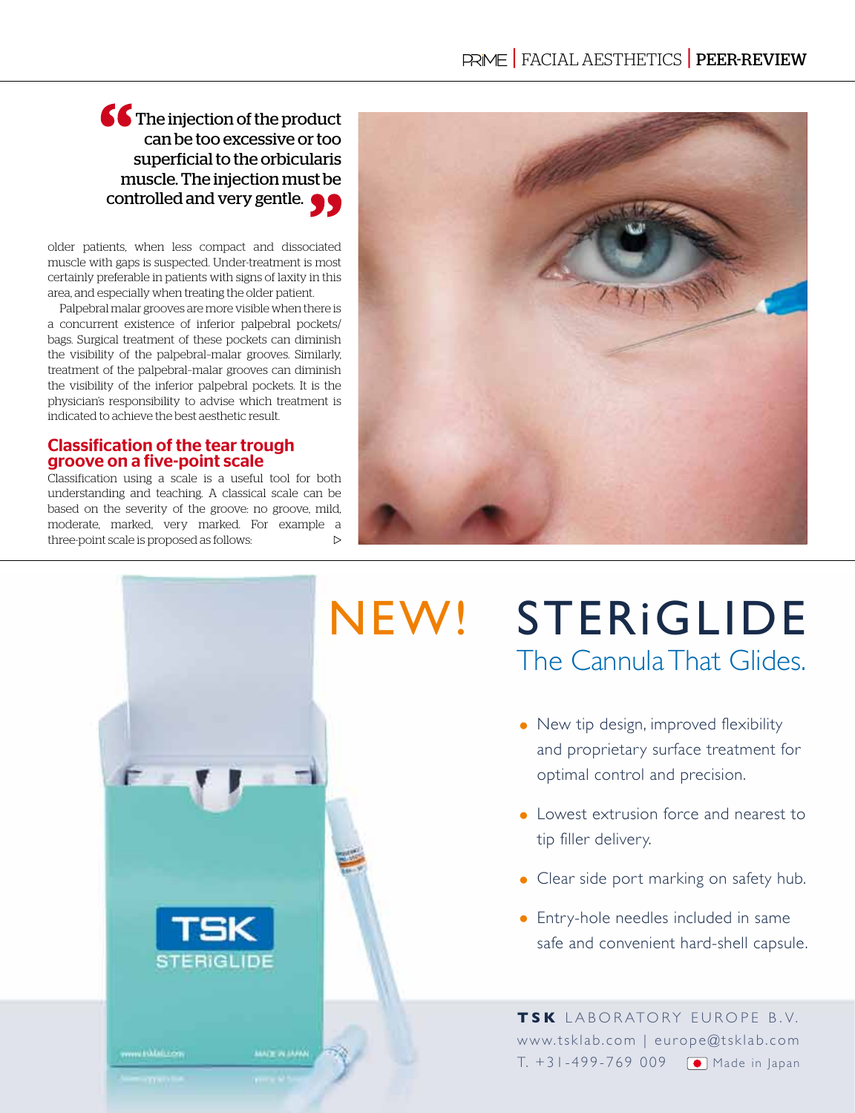**66** The injection of the product can be too excessive or too superficial to the orbicularis muscle. The injection must be controlled and very gentle.

older patients, when less compact and dissociated muscle with gaps is suspected. Under-treatment is most certainly preferable in patients with signs of laxity in this area, and especially when treating the older patient.

Palpebral malar grooves are more visible when there is a concurrent existence of inferior palpebral pockets/ bags. Surgical treatment of these pockets can diminish the visibility of the palpebral–malar grooves. Similarly, treatment of the palpebral–malar grooves can diminish the visibility of the inferior palpebral pockets. It is the physician's responsibility to advise which treatment is indicated to achieve the best aesthetic result.

#### Classification of the tear trough groove on a five-point scale

classification using a scale is a useful tool for both understanding and teaching. A classical scale can be based on the severity of the groove: no groove, mild, moderate, marked, very marked. For example a three-point scale is proposed as follows:  $\triangleright$ 

**TERIGLIDE** 



# NEW! STERIGLIDE The Cannula That Glides.

- New tip design, improved flexibility and proprietary surface treatment for optimal control and precision.
- Lowest extrusion force and nearest to tip filler delivery.
- Clear side port marking on safety hub.
- Entry-hole needles included in same safe and convenient hard-shell capsule.

**T S K** L A B O R ATO R Y E U R O P E B . V. www.tsklab.com | europe@tsklab.com T.  $+31-499-769009$  • Made in Japan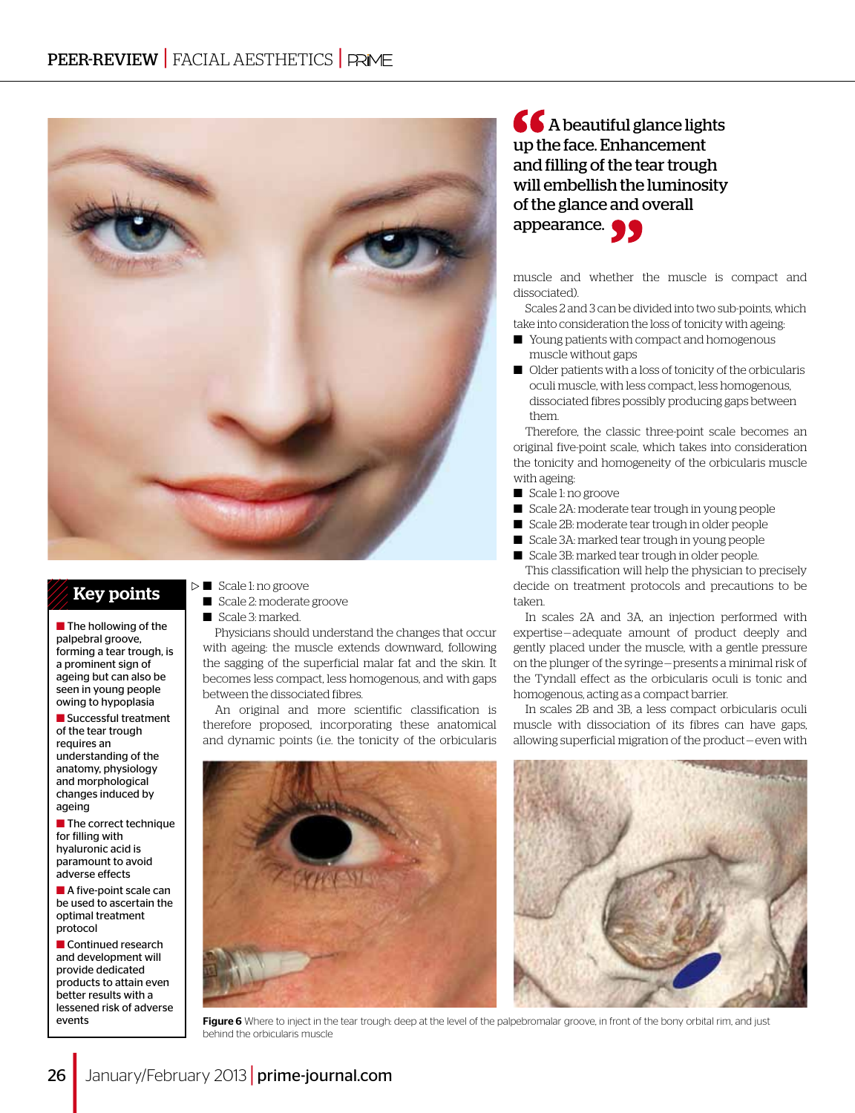

### Key points

■ The hollowing of the palpebral groove, forming a tear trough, is a prominent sign of ageing but can also be seen in young people owing to hypoplasia

■ Successful treatment of the tear trough requires an understanding of the anatomy, physiology and morphological changes induced by ageing

■ The correct technique for filling with hyaluronic acid is paramount to avoid adverse effects

■ A five-point scale can be used to ascertain the optimal treatment protocol

■ Continued research and development will provide dedicated products to attain even better results with a lessened risk of adverse

#### ■ Scale 1: no groove

- Scale 2: moderate groove
- Scale 3: marked.

Physicians should understand the changes that occur with ageing: the muscle extends downward, following the sagging of the superficial malar fat and the skin. It becomes less compact, less homogenous, and with gaps between the dissociated fibres.

An original and more scientific classification is therefore proposed, incorporating these anatomical and dynamic points (i.e. the tonicity of the orbicularis



66 A beautiful glance lights up the face. Enhancement and filling of the tear trough will embellish the luminosity of the glance and overall appearance. **O** 

muscle and whether the muscle is compact and dissociated).

Scales 2 and 3 can be divided into two sub-points, which take into consideration the loss of tonicity with ageing:

- Young patients with compact and homogenous muscle without gaps
- Older patients with a loss of tonicity of the orbicularis oculi muscle, with less compact, less homogenous, dissociated fibres possibly producing gaps between them.

Therefore, the classic three-point scale becomes an original five-point scale, which takes into consideration the tonicity and homogeneity of the orbicularis muscle with ageing:

- Scale 1: no groove
- Scale 2A: moderate tear trough in young people
- Scale 2B: moderate tear trough in older people
- Scale 3A: marked tear trough in young people
- Scale 3B: marked tear trough in older people.

This classification will help the physician to precisely decide on treatment protocols and precautions to be taken.

In scales 2A and 3A, an injection performed with expertise — adequate amount of product deeply and gently placed under the muscle, with a gentle pressure on the plunger of the syringe — presents a minimal risk of the Tyndall effect as the orbicularis oculi is tonic and homogenous, acting as a compact barrier.

In scales 2B and 3B, a less compact orbicularis oculi muscle with dissociation of its fibres can have gaps, allowing superficial migration of the product — even with



**Example 1 Figure 6** Where to inject in the tear trough: deep at the level of the palpebromalar groove, in front of the bony orbital rim, and just behind the orbicularis muscle